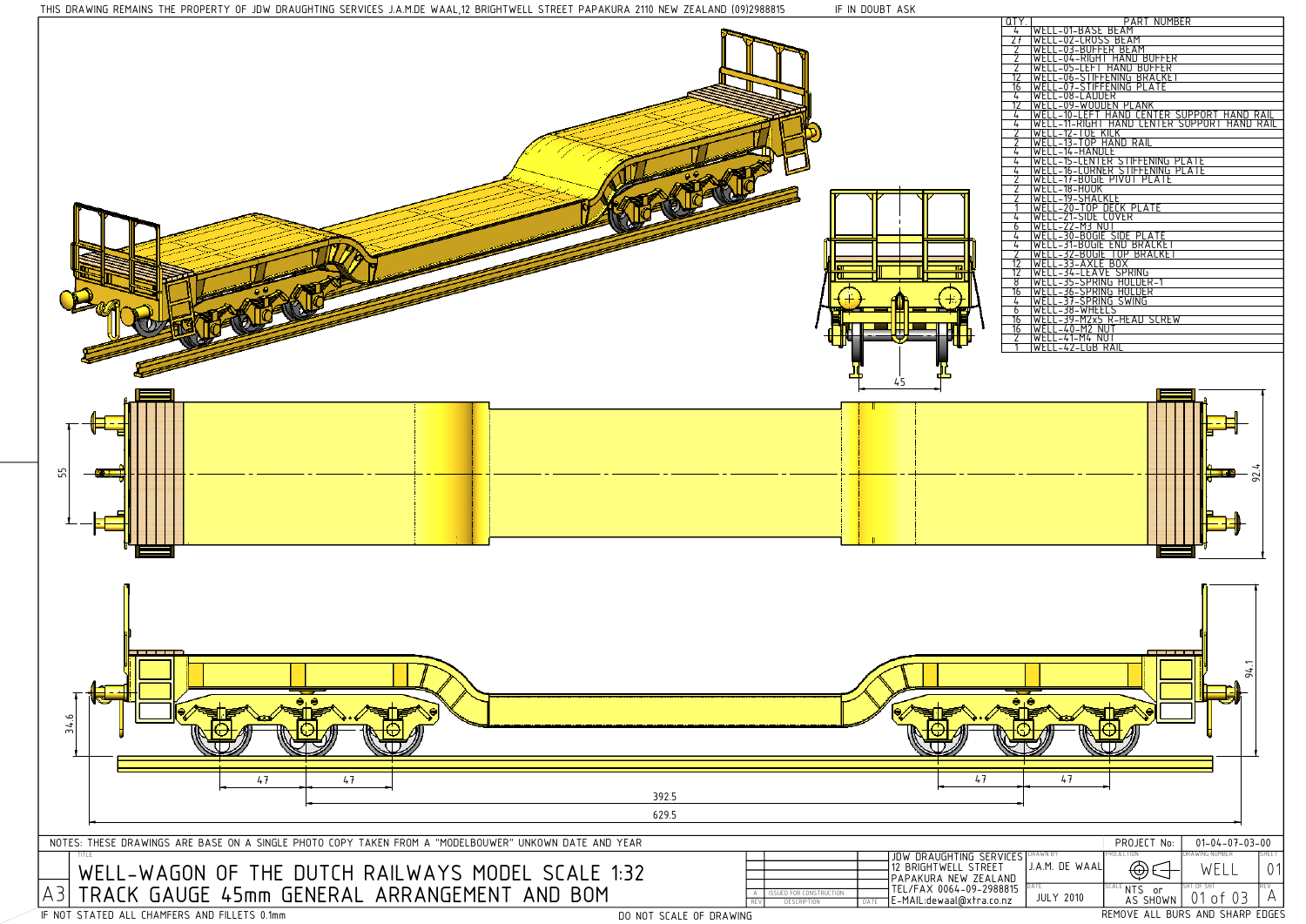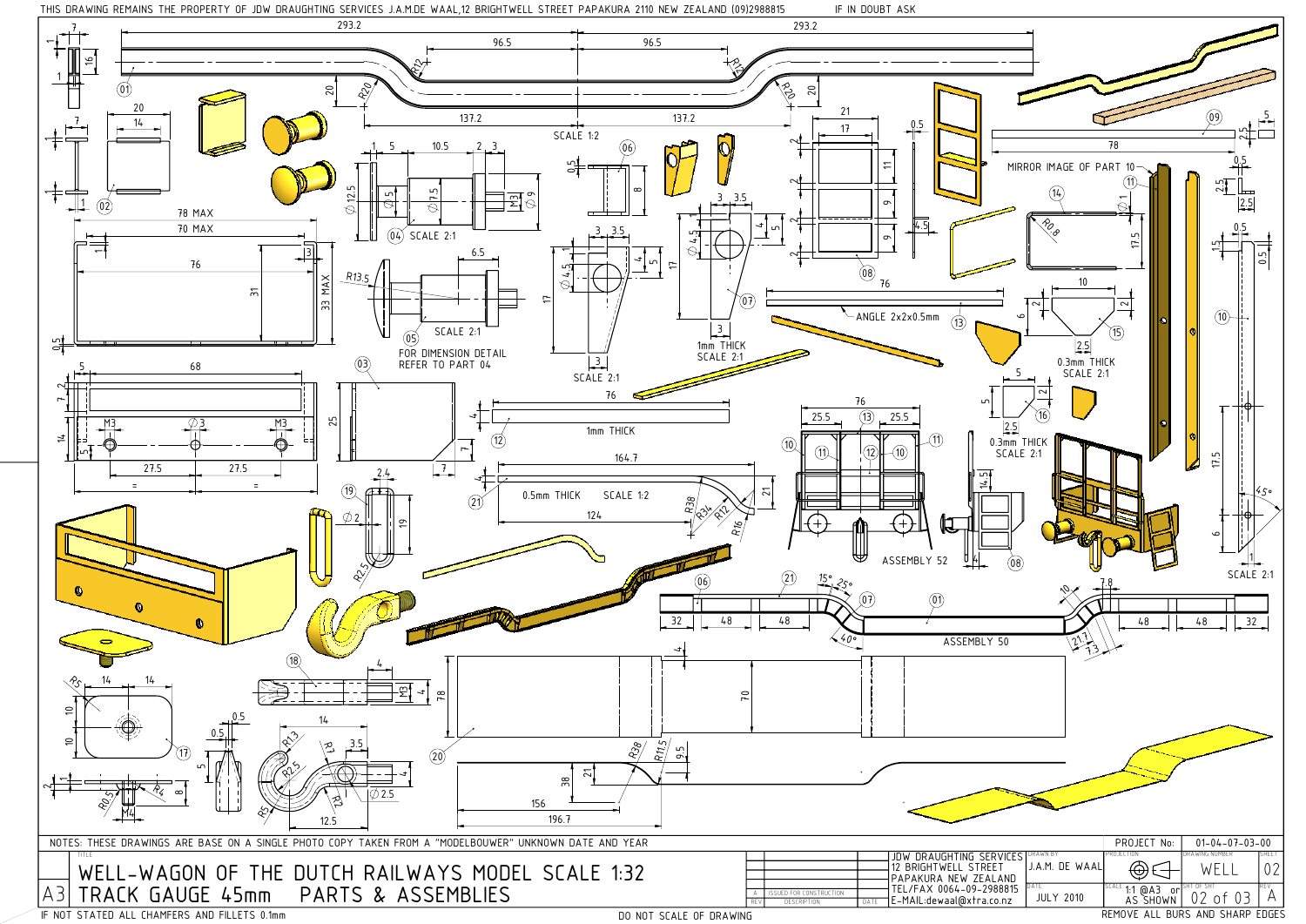